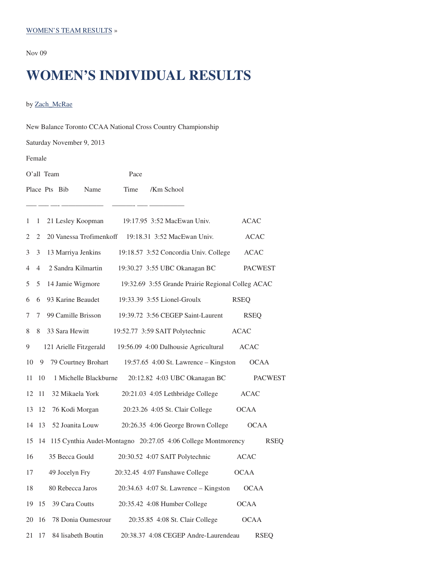Nov 09

# **WOMEN'S INDIVIDUAL RESULTS**

by Zach\_McRae

| New Balance Toronto CCAA National Cross Country Championship |      |                                                                    |                |  |  |
|--------------------------------------------------------------|------|--------------------------------------------------------------------|----------------|--|--|
| Saturday November 9, 2013                                    |      |                                                                    |                |  |  |
| Female                                                       |      |                                                                    |                |  |  |
| O'all Team                                                   | Pace |                                                                    |                |  |  |
| Place Pts Bib<br>Name                                        | Time | /Km School                                                         |                |  |  |
|                                                              |      |                                                                    |                |  |  |
| 1<br>1                                                       |      | 21 Lesley Koopman 19:17.95 3:52 MacEwan Univ.                      | <b>ACAC</b>    |  |  |
| $\mathbf{2}^{\prime}$<br>2                                   |      | 20 Vanessa Trofimenkoff 19:18.31 3:52 MacEwan Univ.                | <b>ACAC</b>    |  |  |
| 3 <sup>1</sup><br>3<br>13 Marriya Jenkins                    |      | 19:18.57 3:52 Concordia Univ. College                              | <b>ACAC</b>    |  |  |
| $\overline{4}$<br>4                                          |      | 2 Sandra Kilmartin 19:30.27 3:55 UBC Okanagan BC                   | <b>PACWEST</b> |  |  |
| 5<br>5                                                       |      | 14 Jamie Wigmore 19:32.69 3:55 Grande Prairie Regional Colleg ACAC |                |  |  |
| 93 Karine Beaudet<br>6<br>6                                  |      | 19:33.39 3:55 Lionel-Groulx                                        | <b>RSEQ</b>    |  |  |
| 99 Camille Brisson<br>7<br>7                                 |      | 19:39.72 3:56 CEGEP Saint-Laurent                                  | <b>RSEQ</b>    |  |  |
| 33 Sara Hewitt<br>8<br>8                                     |      | 19:52.77 3:59 SAIT Polytechnic                                     | <b>ACAC</b>    |  |  |
| 9                                                            |      | 121 Arielle Fitzgerald 19:56.09 4:00 Dalhousie Agricultural        | <b>ACAC</b>    |  |  |
| 10<br>79 Courtney Brohart<br>9                               |      | 19:57.65 4:00 St. Lawrence $-$ Kingston                            | <b>OCAA</b>    |  |  |
| 1 Michelle Blackburne<br>11<br>10                            |      | 20:12.82 4:03 UBC Okanagan BC                                      | <b>PACWEST</b> |  |  |
| 32 Mikaela York<br>12<br>11                                  |      | 20:21.03 4:05 Lethbridge College                                   | <b>ACAC</b>    |  |  |
| 13<br>12<br>76 Kodi Morgan                                   |      | 20:23.26 4:05 St. Clair College                                    | <b>OCAA</b>    |  |  |
| 52 Joanita Louw<br>13<br>14                                  |      | 20:26.35 4:06 George Brown College                                 | <b>OCAA</b>    |  |  |
| 15                                                           |      | 14 115 Cynthia Audet-Montagno 20:27.05 4:06 College Montmorency    | <b>RSEQ</b>    |  |  |
| 35 Becca Gould<br>16                                         |      | 20:30.52 4:07 SAIT Polytechnic                                     | <b>ACAC</b>    |  |  |
| 49 Jocelyn Fry<br>17                                         |      | 20:32.45 4:07 Fanshawe College                                     | <b>OCAA</b>    |  |  |
| 80 Rebecca Jaros<br>18                                       |      | 20:34.63 4:07 St. Lawrence – Kingston                              | <b>OCAA</b>    |  |  |
| 39 Cara Coutts<br>19<br>15                                   |      | 20:35.42 4:08 Humber College                                       | <b>OCAA</b>    |  |  |
| 20<br>16<br>78 Donia Oumesrour                               |      | 20:35.85 4:08 St. Clair College                                    | <b>OCAA</b>    |  |  |
| 84 lisabeth Boutin<br>21<br>17                               |      | 20:38.37 4:08 CEGEP Andre-Laurendeau                               | <b>RSEQ</b>    |  |  |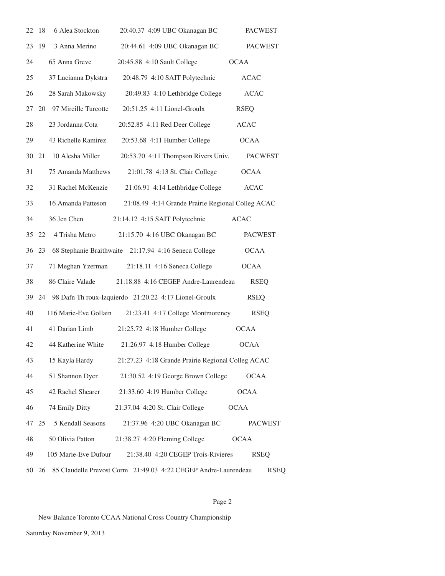| 22 | 18    | 6 Alea Stockton       | 20:40.37 4:09 UBC Okanagan BC                                  | <b>PACWEST</b> |
|----|-------|-----------------------|----------------------------------------------------------------|----------------|
| 23 | 19    | 3 Anna Merino         | 20:44.61 4:09 UBC Okanagan BC                                  | <b>PACWEST</b> |
| 24 |       | 65 Anna Greve         | 20:45.88 4:10 Sault College                                    | <b>OCAA</b>    |
| 25 |       | 37 Lucianna Dykstra   | 20:48.79 4:10 SAIT Polytechnic                                 | <b>ACAC</b>    |
| 26 |       | 28 Sarah Makowsky     | 20:49.83 4:10 Lethbridge College                               | <b>ACAC</b>    |
| 27 | 20    | 97 Mireille Turcotte  | 20:51.25 4:11 Lionel-Groulx                                    | <b>RSEQ</b>    |
| 28 |       | 23 Jordanna Cota      | 20:52.85 4:11 Red Deer College                                 | <b>ACAC</b>    |
| 29 |       | 43 Richelle Ramirez   | 20:53.68 4:11 Humber College                                   | <b>OCAA</b>    |
| 30 | 21    | 10 Alesha Miller      | 20:53.70 4:11 Thompson Rivers Univ.                            | <b>PACWEST</b> |
| 31 |       | 75 Amanda Matthews    | 21:01.78 4:13 St. Clair College                                | <b>OCAA</b>    |
| 32 |       | 31 Rachel McKenzie    | 21:06.91 4:14 Lethbridge College                               | <b>ACAC</b>    |
| 33 |       | 16 Amanda Patteson    | 21:08.49 4:14 Grande Prairie Regional Colleg ACAC              |                |
| 34 |       | 36 Jen Chen           | 21:14.12 4:15 SAIT Polytechnic                                 | <b>ACAC</b>    |
| 35 | 22    | 4 Trisha Metro        | 21:15.70 4:16 UBC Okanagan BC                                  | <b>PACWEST</b> |
|    | 36 23 |                       | 68 Stephanie Braithwaite 21:17.94 4:16 Seneca College          | <b>OCAA</b>    |
| 37 |       | 71 Meghan Yzerman     | 21:18.11 4:16 Seneca College                                   | <b>OCAA</b>    |
| 38 |       | 86 Claire Valade      | 21:18.88 4:16 CEGEP Andre-Laurendeau                           | <b>RSEQ</b>    |
| 39 | 24    |                       | 98 Dafn Th roux-Izquierdo 21:20.22 4:17 Lionel-Groulx          | <b>RSEQ</b>    |
| 40 |       | 116 Marie-Eve Gollain | 21:23.41 4:17 College Montmorency                              | <b>RSEQ</b>    |
| 41 |       | 41 Darian Limb        | 21:25.72 4:18 Humber College                                   | OCAA           |
| 42 |       | 44 Katherine White    | 21:26.97 4:18 Humber College                                   | <b>OCAA</b>    |
| 43 |       | 15 Kayla Hardy        | 21:27.23 4:18 Grande Prairie Regional Colleg ACAC              |                |
| 44 |       | 51 Shannon Dyer       | 21:30.52 4:19 George Brown College                             | <b>OCAA</b>    |
| 45 |       | 42 Rachel Shearer     | 21:33.60 4:19 Humber College                                   | <b>OCAA</b>    |
| 46 |       | 74 Emily Ditty        | 21:37.04 4:20 St. Clair College                                | <b>OCAA</b>    |
| 47 | 25    | 5 Kendall Seasons     | 21:37.96 4:20 UBC Okanagan BC                                  | <b>PACWEST</b> |
| 48 |       | 50 Olivia Patton      | 21:38.27 4:20 Fleming College                                  | <b>OCAA</b>    |
| 49 |       | 105 Marie-Eve Dufour  | 21:38.40 4:20 CEGEP Trois-Rivieres                             | <b>RSEQ</b>    |
|    | 50 26 |                       | 85 Claudelle Prevost Corm 21:49.03 4:22 CEGEP Andre-Laurendeau | <b>RSEQ</b>    |

## Page 2

New Balance Toronto CCAA National Cross Country Championship

Saturday November 9, 2013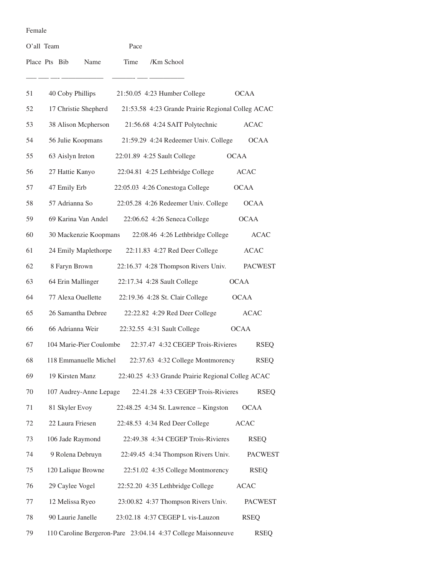#### Female

| O'all Team    |                |                         |      | Pace |                                                              |             |                |
|---------------|----------------|-------------------------|------|------|--------------------------------------------------------------|-------------|----------------|
| Place Pts Bib |                | Name                    | Time |      | /Km School                                                   |             |                |
| 51            |                | 40 Coby Phillips        |      |      | 21:50.05 4:23 Humber College                                 |             | <b>OCAA</b>    |
| 52            |                | 17 Christie Shepherd    |      |      | 21:53.58 4:23 Grande Prairie Regional Colleg ACAC            |             |                |
| 53            |                | 38 Alison Mcpherson     |      |      | 21:56.68 4:24 SAIT Polytechnic                               |             | <b>ACAC</b>    |
| 54            |                | 56 Julie Koopmans       |      |      | 21:59.29 4:24 Redeemer Univ. College                         |             | <b>OCAA</b>    |
| 55            |                | 63 Aislyn Ireton        |      |      | 22:01.89 4:25 Sault College                                  | <b>OCAA</b> |                |
| 56            |                | 27 Hattie Kanyo         |      |      | 22:04.81 4:25 Lethbridge College                             |             | <b>ACAC</b>    |
| 57            |                | 47 Emily Erb            |      |      | 22:05.03 4:26 Conestoga College                              |             | <b>OCAA</b>    |
| 58            |                | 57 Adrianna So          |      |      | 22:05.28 4:26 Redeemer Univ. College                         |             | <b>OCAA</b>    |
| 59            |                | 69 Karina Van Andel     |      |      | 22:06.62 4:26 Seneca College                                 |             | <b>OCAA</b>    |
| 60            |                | 30 Mackenzie Koopmans   |      |      | 22:08.46 4:26 Lethbridge College                             |             | <b>ACAC</b>    |
| 61            |                | 24 Emily Maplethorpe    |      |      | 22:11.83 4:27 Red Deer College                               |             | <b>ACAC</b>    |
| 62            |                | 8 Faryn Brown           |      |      | 22:16.37 4:28 Thompson Rivers Univ.                          |             | <b>PACWEST</b> |
| 63            |                | 64 Erin Mallinger       |      |      | 22:17.34 4:28 Sault College                                  |             | <b>OCAA</b>    |
| 64            |                | 77 Alexa Ouellette      |      |      | 22:19.36 4:28 St. Clair College                              |             | OCAA           |
| 65            |                | 26 Samantha Debree      |      |      | 22:22.82 4:29 Red Deer College                               |             | <b>ACAC</b>    |
| 66            |                | 66 Adrianna Weir        |      |      | 22:32.55 4:31 Sault College                                  |             | <b>OCAA</b>    |
| 67            |                | 104 Marie-Pier Coulombe |      |      | 22:37.47 4:32 CEGEP Trois-Rivieres                           |             | <b>RSEQ</b>    |
| 68            |                | 118 Emmanuelle Michel   |      |      | 22:37.63 4:32 College Montmorency                            |             | <b>RSEQ</b>    |
| 69            |                | 19 Kirsten Manz         |      |      | 22:40.25 4:33 Grande Prairie Regional Colleg ACAC            |             |                |
| 70            |                | 107 Audrey-Anne Lepage  |      |      | 22:41.28 4:33 CEGEP Trois-Rivieres                           |             | <b>RSEQ</b>    |
| 71            | 81 Skyler Evoy |                         |      |      | $22:48.25$ 4:34 St. Lawrence – Kingston                      |             | <b>OCAA</b>    |
| 72            |                | 22 Laura Friesen        |      |      | 22:48.53 4:34 Red Deer College                               |             | <b>ACAC</b>    |
| 73            |                | 106 Jade Raymond        |      |      | 22:49.38 4:34 CEGEP Trois-Rivieres                           |             | <b>RSEQ</b>    |
| 74            |                | 9 Rolena Debruyn        |      |      | 22:49.45 4:34 Thompson Rivers Univ.                          |             | <b>PACWEST</b> |
| 75            |                | 120 Lalique Browne      |      |      | 22:51.02 4:35 College Montmorency                            |             | <b>RSEQ</b>    |
| 76            |                | 29 Caylee Vogel         |      |      | 22:52.20 4:35 Lethbridge College                             |             | <b>ACAC</b>    |
| 77            |                | 12 Melissa Ryeo         |      |      | 23:00.82 4:37 Thompson Rivers Univ.                          |             | <b>PACWEST</b> |
| 78            |                | 90 Laurie Janelle       |      |      | 23:02.18 4:37 CEGEP L vis-Lauzon                             |             | <b>RSEQ</b>    |
| 79            |                |                         |      |      | 110 Caroline Bergeron-Pare 23:04.14 4:37 College Maisonneuve |             | <b>RSEQ</b>    |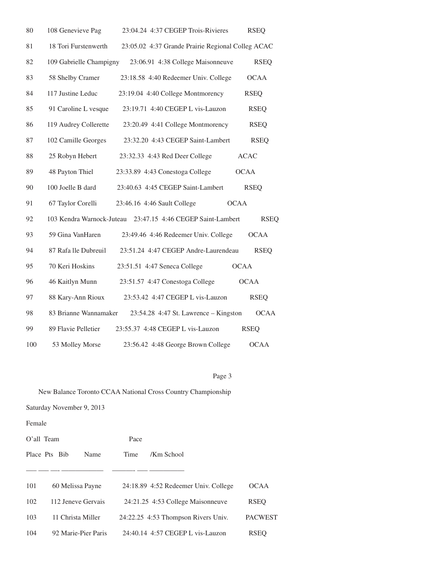| 80  | 108 Genevieve Pag       | 23:04.24 4:37 CEGEP Trois-Rivieres                          | <b>RSEQ</b> |
|-----|-------------------------|-------------------------------------------------------------|-------------|
| 81  | 18 Tori Furstenwerth    | 23:05.02 4:37 Grande Prairie Regional Colleg ACAC           |             |
| 82  | 109 Gabrielle Champigny | 23:06.91 4:38 College Maisonneuve                           | <b>RSEQ</b> |
| 83  | 58 Shelby Cramer        | 23:18.58 4:40 Redeemer Univ. College                        | <b>OCAA</b> |
| 84  | 117 Justine Leduc       | 23:19.04 4:40 College Montmorency                           | <b>RSEQ</b> |
| 85  | 91 Caroline L vesque    | 23:19.71 4:40 CEGEP L vis-Lauzon                            | <b>RSEQ</b> |
| 86  | 119 Audrey Collerette   | 23:20.49 4:41 College Montmorency                           | <b>RSEQ</b> |
| 87  | 102 Camille Georges     | 23:32.20 4:43 CEGEP Saint-Lambert                           | <b>RSEQ</b> |
| 88  | 25 Robyn Hebert         | 23:32.33 4:43 Red Deer College                              | <b>ACAC</b> |
| 89  | 48 Payton Thiel         | 23:33.89 4:43 Conestoga College                             | <b>OCAA</b> |
| 90  | 100 Joelle B dard       | 23:40.63 4:45 CEGEP Saint-Lambert                           | <b>RSEQ</b> |
| 91  | 67 Taylor Corelli       | 23:46.16 4:46 Sault College<br><b>OCAA</b>                  |             |
| 92  |                         | 103 Kendra Warnock-Juteau 23:47.15 4:46 CEGEP Saint-Lambert | <b>RSEQ</b> |
| 93  | 59 Gina VanHaren        | 23:49.46 4:46 Redeemer Univ. College                        | <b>OCAA</b> |
| 94  | 87 Rafa lle Dubreuil    | 23:51.24 4:47 CEGEP Andre-Laurendeau                        | <b>RSEQ</b> |
| 95  | 70 Keri Hoskins         | 23:51.51 4:47 Seneca College<br><b>OCAA</b>                 |             |
| 96  | 46 Kaitlyn Munn         | 23:51.57 4:47 Conestoga College                             | <b>OCAA</b> |
| 97  | 88 Kary-Ann Rioux       | 23:53.42 4:47 CEGEP L vis-Lauzon                            | <b>RSEQ</b> |
| 98  | 83 Brianne Wannamaker   | 23:54.28 4:47 St. Lawrence - Kingston                       | <b>OCAA</b> |
| 99  | 89 Flavie Pelletier     | 23:55.37 4:48 CEGEP L vis-Lauzon                            | <b>RSEQ</b> |
| 100 | 53 Molley Morse         | 23:56.42 4:48 George Brown College                          | <b>OCAA</b> |

## Page 3

## New Balance Toronto CCAA National Cross Country Championship

Saturday November 9, 2013

Female

| $O'all$ Team               | Pace                                 |                |
|----------------------------|--------------------------------------|----------------|
| Place Pts Bib<br>Name      | /Km School<br>Time                   |                |
|                            |                                      |                |
| 101<br>60 Melissa Payne    | 24:18.89 4:52 Redeemer Univ. College | <b>OCAA</b>    |
| 102<br>112 Jeneve Gervais  | 24:21.25 4:53 College Maisonneuve    | RSEO           |
| 103<br>11 Christa Miller   | 24:22.25 4:53 Thompson Rivers Univ.  | <b>PACWEST</b> |
| 92 Marie-Pier Paris<br>104 | 24:40.14 4:57 CEGEP L vis-Lauzon     | <b>RSEO</b>    |